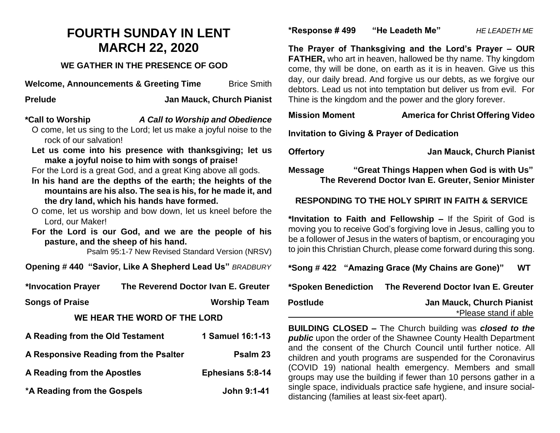# **FOURTH SUNDAY IN LENT MARCH 22, 2020**

## **WE GATHER IN THE PRESENCE OF GOD**

**Welcome, Announcements & Greeting Time** Brice Smith

**Prelude Jan Mauck, Church Pianist**

## **\*Call to Worship** *A Call to Worship and Obedience*

O come, let us sing to the Lord; let us make a joyful noise to the rock of our salvation!

**Let us come into his presence with thanksgiving; let us make a joyful noise to him with songs of praise!**

For the Lord is a great God, and a great King above all gods.

- **In his hand are the depths of the earth; the heights of the mountains are his also. The sea is his, for he made it, and the dry land, which his hands have formed.**
- O come, let us worship and bow down, let us kneel before the Lord, our Maker!

**For the Lord is our God, and we are the people of his pasture, and the sheep of his hand.**

Psalm 95:1-7 New Revised Standard Version (NRSV)

**Opening # 440 "Savior, Like A Shepherd Lead Us"** *BRADBURY*

**\*Invocation Prayer The Reverend Doctor Ivan E. Greuter**

**Songs of Praise Worship Team** 

## **WE HEAR THE WORD OF THE LORD**

| A Reading from the Old Testament      | 1 Samuel 16:1-13        |
|---------------------------------------|-------------------------|
| A Responsive Reading from the Psalter | Psalm 23                |
| A Reading from the Apostles           | <b>Ephesians 5:8-14</b> |
| *A Reading from the Gospels           | John 9:1-41             |

#### **\*Response # 499 "He Leadeth Me"** *HE LEADETH ME*

**The Prayer of Thanksgiving and the Lord's Prayer – OUR FATHER,** who art in heaven, hallowed be thy name. Thy kingdom come, thy will be done, on earth as it is in heaven. Give us this day, our daily bread. And forgive us our debts, as we forgive our debtors. Lead us not into temptation but deliver us from evil. For Thine is the kingdom and the power and the glory forever.

## **Mission Moment America for Christ Offering Video**

**Invitation to Giving & Prayer of Dedication**

**Offertory Jan Mauck, Church Pianist**

**Message "Great Things Happen when God is with Us" The Reverend Doctor Ivan E. Greuter, Senior Minister**

## **RESPONDING TO THE HOLY SPIRIT IN FAITH & SERVICE**

**\*Invitation to Faith and Fellowship –** If the Spirit of God is moving you to receive God's forgiving love in Jesus, calling you to be a follower of Jesus in the waters of baptism, or encouraging you to join this Christian Church, please come forward during this song.

|                     | *Song #422 "Amazing Grace (My Chains are Gone)" | WТ |
|---------------------|-------------------------------------------------|----|
| *Spoken Benediction | The Reverend Doctor Ivan E. Greuter             |    |
| <b>Postlude</b>     | <b>Jan Mauck, Church Pianist</b>                |    |
|                     | *Please stand if able                           |    |

**BUILDING CLOSED –** The Church building was *closed to the*  **public** upon the order of the Shawnee County Health Department and the consent of the Church Council until further notice. All children and youth programs are suspended for the Coronavirus (COVID 19) national health emergency. Members and small groups may use the building if fewer than 10 persons gather in a single space, individuals practice safe hygiene, and insure socialdistancing (families at least six-feet apart).